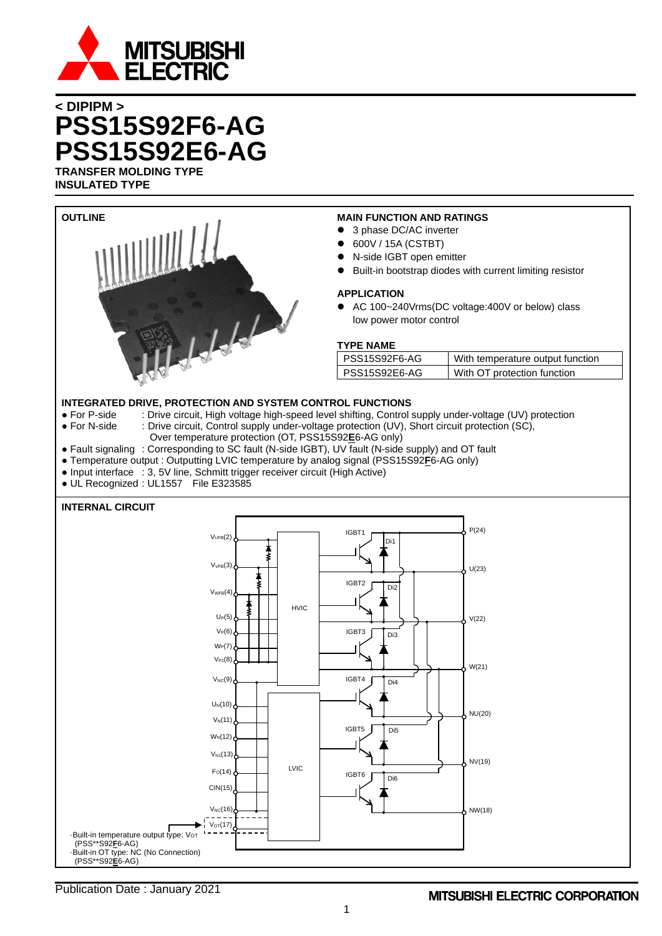

# **< DIPIPM > PSS15S92F6-AG PSS15S92E6-AG TRANSFER MOLDING TYPE**

**INSULATED TYPE**

| <b>OUTLINE</b>                                                                                                                                                             | <b>MAIN FUNCTION AND RATINGS</b>                                                                      |
|----------------------------------------------------------------------------------------------------------------------------------------------------------------------------|-------------------------------------------------------------------------------------------------------|
|                                                                                                                                                                            | 3 phase DC/AC inverter                                                                                |
|                                                                                                                                                                            | ● 600V / 15A (CSTBT)                                                                                  |
|                                                                                                                                                                            | • N-side IGBT open emitter                                                                            |
|                                                                                                                                                                            | Built-in bootstrap diodes with current limiting resistor                                              |
|                                                                                                                                                                            | <b>APPLICATION</b>                                                                                    |
| $J-l-l-l$                                                                                                                                                                  | • AC 100~240Vrms(DC voltage:400V or below) class                                                      |
|                                                                                                                                                                            | low power motor control                                                                               |
|                                                                                                                                                                            |                                                                                                       |
|                                                                                                                                                                            | <b>TYPE NAME</b>                                                                                      |
|                                                                                                                                                                            | PSS15S92F6-AG<br>With temperature output function                                                     |
|                                                                                                                                                                            | PSS15S92E6-AG<br>With OT protection function                                                          |
|                                                                                                                                                                            |                                                                                                       |
| <b>INTEGRATED DRIVE, PROTECTION AND SYSTEM CONTROL FUNCTIONS</b>                                                                                                           |                                                                                                       |
| • For P-side                                                                                                                                                               | : Drive circuit, High voltage high-speed level shifting, Control supply under-voltage (UV) protection |
| • For N-side                                                                                                                                                               | : Drive circuit, Control supply under-voltage protection (UV), Short circuit protection (SC),         |
| Over temperature protection (OT, PSS15S92E6-AG only)                                                                                                                       |                                                                                                       |
| • Fault signaling : Corresponding to SC fault (N-side IGBT), UV fault (N-side supply) and OT fault                                                                         |                                                                                                       |
| • Temperature output : Outputting LVIC temperature by analog signal (PSS15S92E6-AG only)<br>• Input interface : 3, 5V line, Schmitt trigger receiver circuit (High Active) |                                                                                                       |
| · UL Recognized : UL1557 File E323585                                                                                                                                      |                                                                                                       |
|                                                                                                                                                                            |                                                                                                       |
| <b>INTERNAL CIRCUIT</b>                                                                                                                                                    |                                                                                                       |
|                                                                                                                                                                            |                                                                                                       |
| $V_{UFB}(2)$                                                                                                                                                               | P(24)<br>IGBT1                                                                                        |
|                                                                                                                                                                            | Di1                                                                                                   |
| $V_{VFB}(3)$                                                                                                                                                               |                                                                                                       |
|                                                                                                                                                                            | U(23)                                                                                                 |
| $V_{WFB}(4)$                                                                                                                                                               | IGBT2<br>Di <sub>2</sub>                                                                              |
| <b>HVIC</b>                                                                                                                                                                |                                                                                                       |
| $U_P(5)$                                                                                                                                                                   | V(22)                                                                                                 |
| $V_P(6)$                                                                                                                                                                   | IGBT3<br>Di3                                                                                          |
| W <sub>P</sub> (7)                                                                                                                                                         |                                                                                                       |
| $V_{P1}(8)$                                                                                                                                                                |                                                                                                       |
|                                                                                                                                                                            | W(21)                                                                                                 |
| $V_{NC}(9)$                                                                                                                                                                | IGBT4<br>Di <sub>4</sub>                                                                              |
|                                                                                                                                                                            |                                                                                                       |
| $U_N(10)$                                                                                                                                                                  | NU(20)                                                                                                |
| $V_N(11)$                                                                                                                                                                  | IGBT5<br>Di <sub>5</sub>                                                                              |
| $W_N(12)$                                                                                                                                                                  |                                                                                                       |
| $V_{N1}(13)$                                                                                                                                                               |                                                                                                       |
| <b>LVIC</b>                                                                                                                                                                | NV(19)                                                                                                |
| F <sub>O</sub> (14)                                                                                                                                                        | IGBT6<br>Di <sub>6</sub>                                                                              |
| CIN(15)                                                                                                                                                                    |                                                                                                       |
| $V_{NC}(16)$                                                                                                                                                               | NW(18)                                                                                                |
|                                                                                                                                                                            |                                                                                                       |
| V <sub>OT</sub> (17)<br>Built-in temperature output type: V <sub>OT</sub>                                                                                                  |                                                                                                       |
| (PSS**S92 <b>F</b> 6-AG)                                                                                                                                                   |                                                                                                       |
| -Built-in OT type: NC (No Connection)<br>(PSS**S92E6-AG)                                                                                                                   |                                                                                                       |

## **MITSUBISHI ELECTRIC CORPORATION**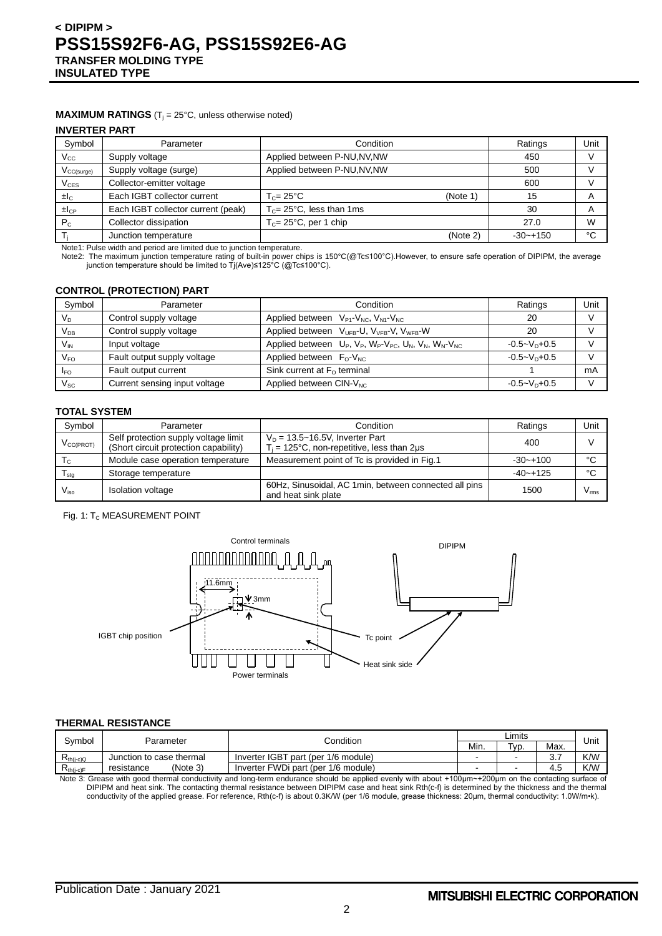### **MAXIMUM RATINGS** ( $T_j = 25^\circ C$ , unless otherwise noted)

### **INVERTER PART**

| Parameter                          | Condition                            |          | Ratings      | Unit |     |  |
|------------------------------------|--------------------------------------|----------|--------------|------|-----|--|
| Supply voltage                     | Applied between P-NU, NV, NW         |          | 450          |      |     |  |
| Supply voltage (surge)             | Applied between P-NU, NV, NW         |          |              |      | 500 |  |
| Collector-emitter voltage          |                                      |          | 600          |      |     |  |
| Each IGBT collector current        | $T_c = 25^{\circ}$ C                 | (Note 1) | 15           | A    |     |  |
| Each IGBT collector current (peak) | $T_c = 25^{\circ}$ C, less than 1 ms |          | 30           | A    |     |  |
| Collector dissipation              | $T_c = 25^{\circ}$ C, per 1 chip     |          | 27.0         | W    |     |  |
| Junction temperature               |                                      | (Note 2) | $-30 - +150$ | °C   |     |  |
|                                    |                                      |          |              |      |     |  |

Note1: Pulse width and period are limited due to junction temperature.

Note2: The maximum junction temperature rating of built-in power chips is 150°C(@Tc≤100°C).However, to ensure safe operation of DIPIPM, the average junction temperature should be limited to Tj(Ave)≤125°C (@Tc≤100°C).

## **CONTROL (PROTECTION) PART**

| Symbol                     | Parameter                     | Condition                                                                           | Ratings            | Unit |
|----------------------------|-------------------------------|-------------------------------------------------------------------------------------|--------------------|------|
| $V_D$                      | Control supply voltage        | Applied between $V_{P1}$ - $V_{NC}$ , $V_{N1}$ - $V_{NC}$                           | 20                 |      |
| V <sub>DB</sub>            | Control supply voltage        | Applied between V <sub>UFB</sub> -U, V <sub>VFB</sub> -V, V <sub>WFB</sub> -W       | 20                 |      |
| $V_{\text{IN}}$            | Input voltage                 | Applied between $U_P$ , $V_P$ , $W_P$ - $V_{PC}$ , $U_N$ , $V_N$ , $W_N$ - $V_{NC}$ | $-0.5 - V_D + 0.5$ |      |
| $V_{FO}$                   | Fault output supply voltage   | Applied between $F_0-V_{NC}$                                                        | $-0.5 - VD + 0.5$  |      |
| <b>IFO</b>                 | Fault output current          | Sink current at $F0$ terminal                                                       |                    | mA   |
| $\mathsf{V}_{\mathsf{SC}}$ | Current sensing input voltage | Applied between CIN-V <sub>NC</sub>                                                 | $-0.5 - VD+0.5$    |      |

#### **TOTAL SYSTEM**

| Symbol                    | Parameter                                                                                                                                                             | Condition                                                                    | Ratings      | Unit          |
|---------------------------|-----------------------------------------------------------------------------------------------------------------------------------------------------------------------|------------------------------------------------------------------------------|--------------|---------------|
| $V_{\text{CC(PROT)}}$     | Self protection supply voltage limit<br>$V_D = 13.5 - 16.5V$ , Inverter Part<br>(Short circuit protection capability)<br>$T_i$ = 125°C, non-repetitive, less than 2µs |                                                                              | 400          |               |
| $\mathsf{T}_{\mathrm{C}}$ | Module case operation temperature                                                                                                                                     | Measurement point of Tc is provided in Fig.1                                 |              | $\sim$        |
| l <sub>stq</sub>          | Storage temperature                                                                                                                                                   |                                                                              | $-40 - +125$ | $\sim$        |
| $V_{\rm iso}$             | <b>Isolation voltage</b>                                                                                                                                              | 60Hz, Sinusoidal, AC 1min, between connected all pins<br>and heat sink plate | 1500         | $V_{\rm rms}$ |

#### Fig. 1: T<sub>C</sub> MEASUREMENT POINT



### **THERMAL RESISTANCE**

| Svmbol                                                             | Parameter                | Condition                           |  | Limits            |                     |      |
|--------------------------------------------------------------------|--------------------------|-------------------------------------|--|-------------------|---------------------|------|
|                                                                    |                          |                                     |  | T <sub>VD</sub> . | Max.                | Unit |
| $\mathsf{R}_{\mathsf{th}(j\text{-}c)\mathsf{Q}}$                   | Junction to case thermal | Inverter IGBT part (per 1/6 module) |  | -                 | $\sim$ $\sim$<br>J. | K/W  |
| $\mathsf{R}_{\mathsf{th}(\mathsf{i}\text{-}\mathsf{c})\mathsf{F}}$ | (Note 3)<br>resistance   | Inverter FWDi part (per 1/6 module) |  | -                 | 4.5                 | K/W  |

Note 3: Grease with good thermal conductivity and long-term endurance should be applied evenly with about +100μm~+200μm on the contacting surface of DIPIPM and heat sink. The contacting thermal resistance between DIPIPM case and heat sink Rth(c-f) is determined by the thickness and the thermal conductivity of the applied grease. For reference, Rth(c-f) is about 0.3K/W (per 1/6 module, grease thickness: 20µm, thermal conductivity: 1.0W/m•k).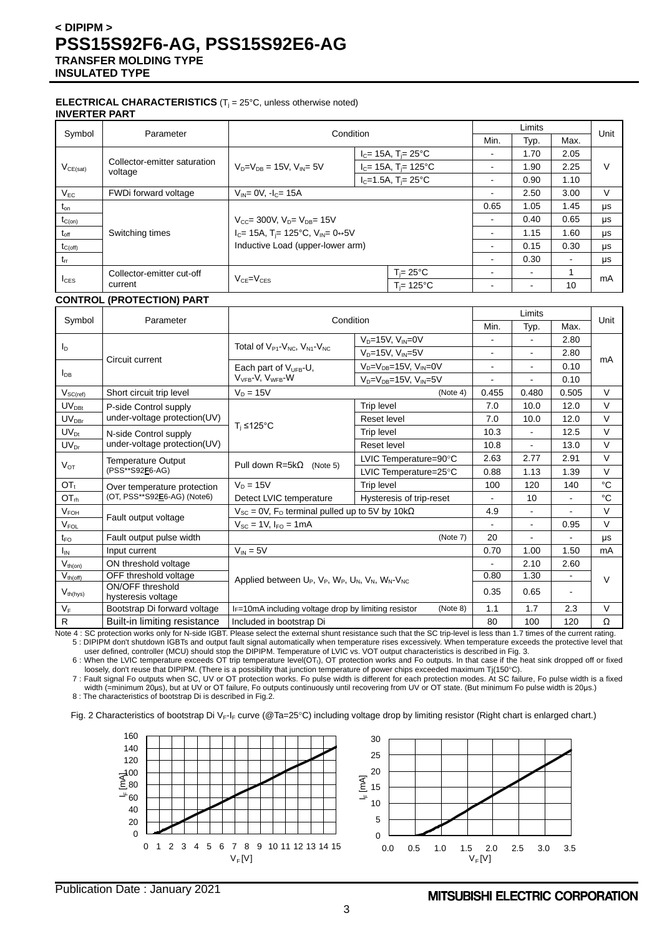#### **ELECTRICAL CHARACTERISTICS** (T<sub>j</sub> = 25°C, unless otherwise noted) **INVERTER PART**

| Symbol           | Parameter                                                                                                                                      | Condition                              |                                      |                          | Limits                   |      | Unit |
|------------------|------------------------------------------------------------------------------------------------------------------------------------------------|----------------------------------------|--------------------------------------|--------------------------|--------------------------|------|------|
|                  |                                                                                                                                                |                                        |                                      | Min.                     | Typ.                     | Max. |      |
|                  |                                                                                                                                                |                                        | $I_c = 15A$ , T <sub>i</sub> = 25°C  | ۰                        | 1.70                     | 2.05 |      |
| $V_{CE(sat)}$    | Collector-emitter saturation<br>voltage                                                                                                        | $V_{D} = V_{DE} = 15V$ , $V_{DE} = 5V$ | $I_c = 15A$ , T <sub>i</sub> = 125°C | -                        | 1.90                     | 2.25 | V    |
|                  |                                                                                                                                                |                                        | $I_C = 1.5A$ , T <sub>i</sub> = 25°C | $\overline{\phantom{0}}$ | 0.90                     | 1.10 |      |
| $V_{EC}$         | FWDi forward voltage                                                                                                                           | $V_{IN} = 0V$ , $I_C = 15A$            |                                      | ۰                        | 2.50                     | 3.00 | V    |
| $t_{\text{on}}$  |                                                                                                                                                |                                        |                                      | 0.65                     | 1.05                     | 1.45 | μs   |
| $t_{C(on)}$      | $V_{CC}$ = 300V, $V_{D}$ = $V_{DB}$ = 15V<br>$I_C = 15A$ , T <sub>i</sub> = 125°C, V <sub>IN</sub> = 0 $\leftrightarrow$ 5V<br>Switching times |                                        |                                      | $\sim$                   | 0.40                     | 0.65 | μs   |
| $t_{\text{off}}$ |                                                                                                                                                |                                        |                                      | ۰                        | 1.15                     | 1.60 | μs   |
| $t_{C(off)}$     |                                                                                                                                                | Inductive Load (upper-lower arm)       |                                      | ۰                        | 0.15                     | 0.30 | μs   |
| $t_{rr}$         |                                                                                                                                                |                                        |                                      | ۰                        | 0.30                     |      | μs   |
|                  | Collector-emitter cut-off                                                                                                                      |                                        | $T = 25^{\circ}C$                    | ۰                        | $\overline{\phantom{0}}$ | 1    | mA   |
| $I_{CES}$        | $VCF=VCES$<br>current                                                                                                                          |                                        | $T_i = 125$ °C                       | $\blacksquare$           | $\overline{\phantom{a}}$ | 10   |      |

## **CONTROL (PROTECTION) PART**

|                                      |                                        |                                                                          | Condition                            |                | Limits         |                | Unit   |
|--------------------------------------|----------------------------------------|--------------------------------------------------------------------------|--------------------------------------|----------------|----------------|----------------|--------|
| Symbol                               | Parameter                              |                                                                          |                                      |                | Typ.           | Max.           |        |
|                                      |                                        | Total of $V_{P1}$ - $V_{NC}$ , $V_{N1}$ - $V_{NC}$                       | $V_D = 15V$ , $V_{IN} = 0V$          | $\overline{a}$ |                | 2.80           |        |
| $I_D$                                |                                        |                                                                          | $V_D = 15V$ , $V_{IN} = 5V$          | $\blacksquare$ | $\overline{a}$ | 2.80           |        |
|                                      | Circuit current                        | Each part of $V_{UFB}$ -U,                                               | $V_D = V_{DB} = 15V$ , $V_{IN} = 0V$ | $\blacksquare$ | $\blacksquare$ | 0.10           | mA     |
| $I_{DB}$                             |                                        | V <sub>VFB</sub> -V, V <sub>WFB</sub> -W                                 | $V_D = V_{DB} = 15V$ , $V_{IN} = 5V$ |                |                | 0.10           |        |
| $V_{SC(ref)}$                        | Short circuit trip level               | $V_D = 15V$                                                              | (Note 4)                             | 0.455          | 0.480          | 0.505          | $\vee$ |
| $UV_{\text{DBt}}$                    | P-side Control supply                  |                                                                          | Trip level                           | 7.0            | 10.0           | 12.0           | $\vee$ |
| $UV_{DBr}$                           | under-voltage protection(UV)           |                                                                          | Reset level                          | 7.0            | 10.0           | 12.0           | $\vee$ |
| $UV_{Dt}$                            | N-side Control supply                  | $T_i \leq 125^{\circ}C$                                                  | <b>Trip level</b>                    | 10.3           | $\blacksquare$ | 12.5           | $\vee$ |
| $UV_{Dr}$                            | under-voltage protection(UV)           |                                                                          | Reset level                          | 10.8           | $\blacksquare$ | 13.0           | $\vee$ |
| $V_{OT}$                             | Temperature Output<br>(PSS**S92F6-AG)  | Pull down $R = 5k\Omega$<br>(Note 5)                                     | LVIC Temperature=90°C                | 2.63           | 2.77           | 2.91           | $\vee$ |
|                                      |                                        |                                                                          | LVIC Temperature=25°C                | 0.88           | 1.13           | 1.39           | $\vee$ |
| $OT_t$                               | Over temperature protection            | $V_D = 15V$                                                              | Trip level                           | 100            | 120            | 140            | °C     |
| OT <sub>rh</sub>                     | (OT, PSS**S92E6-AG) (Note6)            | Detect LVIC temperature                                                  | Hysteresis of trip-reset             | $\blacksquare$ | 10             | $\blacksquare$ | °C     |
| V <sub>FOH</sub>                     | Fault output voltage                   | $V_{SC}$ = 0V, F <sub>o</sub> terminal pulled up to 5V by 10k $\Omega$   |                                      | 4.9            | $\blacksquare$ |                | $\vee$ |
| $V_{FOL}$                            |                                        | $V_{SC} = 1V$ , $I_{FO} = 1mA$                                           |                                      |                | $\blacksquare$ | 0.95           | $\vee$ |
| $t_{\text{FO}}$                      | Fault output pulse width               |                                                                          | (Note 7)                             | 20             |                |                | μs     |
| $I_{IN}$                             | Input current                          | $V_{IN} = 5V$                                                            |                                      | 0.70           | 1.00           | 1.50           | mA     |
| $V_{th(on)}$                         | ON threshold voltage                   |                                                                          |                                      |                | 2.10           | 2.60           |        |
| $\overline{V}_{\underline{th(off)}}$ | OFF threshold voltage                  | Applied between $U_P$ , $V_P$ , $W_P$ , $U_N$ , $V_N$ , $W_N$ - $V_{NC}$ |                                      | 0.80           | 1.30           |                | $\vee$ |
| $V_{th(hys)}$                        | ON/OFF threshold<br>hysteresis voltage |                                                                          |                                      | 0.35           | 0.65           | $\blacksquare$ |        |
| $V_F$                                | Bootstrap Di forward voltage           | $I_F$ =10mA including voltage drop by limiting resistor                  | (Note 8)                             | 1.1            | 1.7            | 2.3            | $\vee$ |
| $\mathsf{R}$                         | Built-in limiting resistance           | Included in bootstrap Di                                                 |                                      | 80             | 100            | 120            | Ω      |

Note 4 : SC protection works only for N-side IGBT. Please select the external shunt resistance such that the SC trip-level is less than 1.7 times of the current rating. 5 : DIPIPM don't shutdown IGBTs and output fault signal automatically when temperature rises excessively. When temperature exceeds the protective level that

user defined, controller (MCU) should stop the DIPIPM. Temperature of LVIC vs. VOT output characteristics is described in Fig. 3. 6 : When the LVIC temperature exceeds OT trip temperature level(OTt), OT protection works and Fo outputs. In that case if the heat sink dropped off or fixed

loosely, don't reuse that DIPIPM. (There is a possibility that junction temperature of power chips exceeded maximum Tj(150°C).

7 : Fault signal Fo outputs when SC, UV or OT protection works. Fo pulse width is different for each protection modes. At SC failure, Fo pulse width is a fixed width (=minimum 20μs), but at UV or OT failure, Fo outputs continuously until recovering from UV or OT state. (But minimum Fo pulse width is 20μs.)

8 : The characteristics of bootstrap Di is described in Fig.2.

Fig. 2 Characteristics of bootstrap Di V<sub>F-IF</sub> curve (@Ta=25°C) including voltage drop by limiting resistor (Right chart is enlarged chart.)

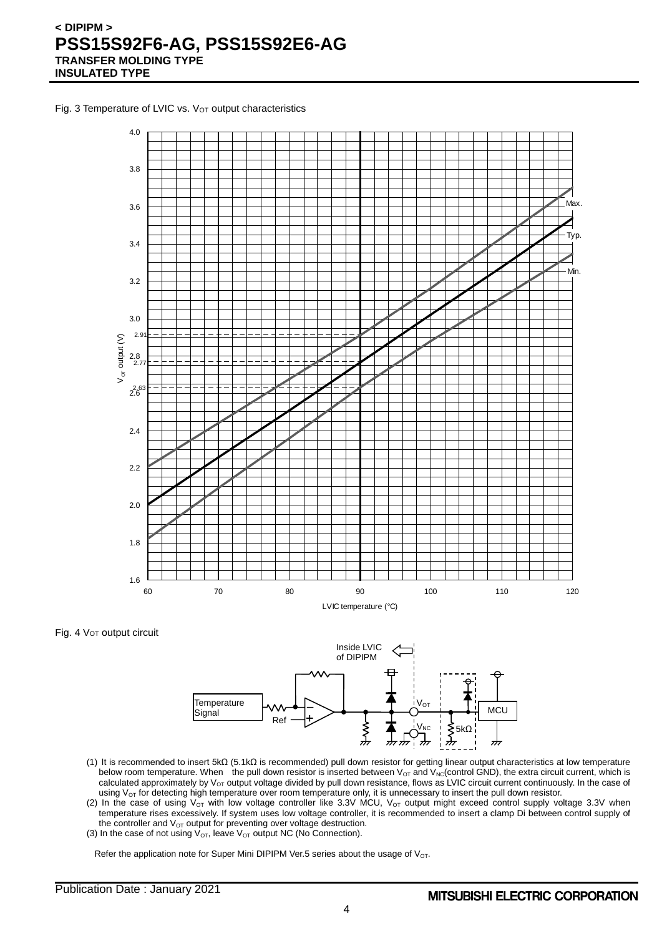Fig. 3 Temperature of LVIC vs. V<sub>OT</sub> output characteristics



Fig. 4 Vor output circuit



- (1) It is recommended to insert 5kΩ (5.1kΩ is recommended) pull down resistor for getting linear output characteristics at low temperature below room temperature. When the pull down resistor is inserted between V<sub>OT</sub> and V<sub>NC</sub>(control GND), the extra circuit current, which is calculated approximately by  $V_{OT}$  output voltage divided by pull down resistance, flows as LVIC circuit current continuously. In the case of using  $V_{OT}$  for detecting high temperature over room temperature only, it is unnecessary to insert the pull down resistor.
- (2) In the case of using  $V_{OT}$  with low voltage controller like 3.3V MCU,  $V_{OT}$  output might exceed control supply voltage 3.3V when temperature rises excessively. If system uses low voltage controller, it is recommended to insert a clamp Di between control supply of the controller and  $V_{OT}$  output for preventing over voltage destruction.
- (3) In the case of not using  $V_{\text{OT}}$ , leave  $V_{\text{OT}}$  output NC (No Connection).

Refer the application note for Super Mini DIPIPM Ver.5 series about the usage of  $V_{OT}$ .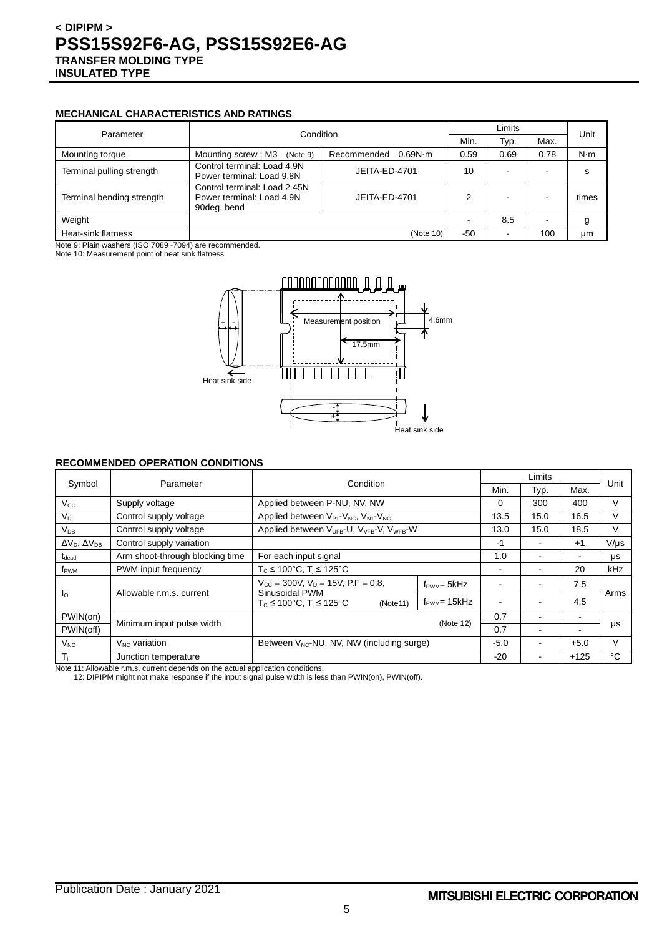## **MECHANICAL CHARACTERISTICS AND RATINGS**

|                           | Condition                                                                                 |                        |      | Limits                   |      |             |  |
|---------------------------|-------------------------------------------------------------------------------------------|------------------------|------|--------------------------|------|-------------|--|
| Parameter                 |                                                                                           |                        | Min. | Typ.                     | Max. | Unit        |  |
| Mounting torque           | Mounting screw: M3<br>(Note 9)                                                            | 0.69N·m<br>Recommended | 0.59 | 0.69                     | 0.78 | $N \cdot m$ |  |
| Terminal pulling strength | Control terminal: Load 4.9N<br>Power terminal: Load 9.8N                                  | JEITA-ED-4701          | 10   | $\overline{\phantom{0}}$ |      | s           |  |
| Terminal bending strength | Control terminal: Load 2.45N<br>Power terminal: Load 4.9N<br>JEITA-ED-4701<br>90deg. bend |                        | 2    | $\overline{\phantom{0}}$ |      | times       |  |
| Weight                    |                                                                                           |                        |      | 8.5                      |      | g           |  |
| Heat-sink flatness        |                                                                                           | (Note 10)              | -50  |                          | 100  | μm          |  |

Note 9: Plain washers (ISO 7089~7094) are recommended.

Note 10: Measurement point of heat sink flatness



## **RECOMMENDED OPERATION CONDITIONS**

| Symbol                         | Parameter                       | Condition                                                                                                                                                                                         |  |                              | Limits |        | Unit      |  |
|--------------------------------|---------------------------------|---------------------------------------------------------------------------------------------------------------------------------------------------------------------------------------------------|--|------------------------------|--------|--------|-----------|--|
|                                |                                 |                                                                                                                                                                                                   |  | Min.                         | Typ.   | Max.   |           |  |
| $V_{\rm CC}$                   | Supply voltage                  | Applied between P-NU, NV, NW                                                                                                                                                                      |  | 0                            | 300    | 400    | V         |  |
| $V_D$                          | Control supply voltage          | Applied between $V_{P1}$ - $V_{NC}$ , $V_{N1}$ - $V_{NC}$                                                                                                                                         |  | 13.5                         | 15.0   | 16.5   | V         |  |
| $V_{DB}$                       | Control supply voltage          | Applied between V <sub>UFB</sub> -U, V <sub>VFB</sub> -V, V <sub>WFB</sub> -W                                                                                                                     |  | 13.0                         | 15.0   | 18.5   | V         |  |
| $\Delta V_D$ , $\Delta V_{DB}$ | Control supply variation        |                                                                                                                                                                                                   |  | -1                           |        | $+1$   | $V/\mu s$ |  |
| $t_{\text{dead}}$              | Arm shoot-through blocking time | For each input signal                                                                                                                                                                             |  | 1.0                          |        |        | μs        |  |
| f <sub>PWM</sub>               | PWM input frequency             | $T_c \le 100^{\circ}$ C, $T_i \le 125^{\circ}$ C                                                                                                                                                  |  | ۰                            |        | 20     | kHz       |  |
| $\mathsf{I}_\Omega$            |                                 | $V_{\text{CC}}$ = 300V, $V_{\text{D}}$ = 15V, P.F = 0.8,<br>$f_{\text{PWM}} = 5kHz$<br>Sinusoidal PWM<br>Allowable r.m.s. current<br>$T_c \le 100^{\circ}$ C, $T_i \le 125^{\circ}$ C<br>(Note11) |  |                              |        | 7.5    | Arms      |  |
|                                |                                 |                                                                                                                                                                                                   |  | $f_{\text{PWM}}$ = 15 $k$ Hz |        |        | 4.5       |  |
| PWIN(on)                       |                                 | (Note 12)                                                                                                                                                                                         |  | 0.7                          |        |        |           |  |
| PWIN(off)                      | Minimum input pulse width       |                                                                                                                                                                                                   |  | 0.7                          |        |        | μs        |  |
| $V_{NC}$                       | $V_{NC}$ variation              | Between V <sub>NC</sub> -NU, NV, NW (including surge)                                                                                                                                             |  | $-5.0$                       |        | $+5.0$ | v         |  |
| $T_i$                          | Junction temperature            |                                                                                                                                                                                                   |  | $-20$                        |        | $+125$ | °C        |  |

Note 11: Allowable r.m.s. current depends on the actual application conditions.

12: DIPIPM might not make response if the input signal pulse width is less than PWIN(on), PWIN(off).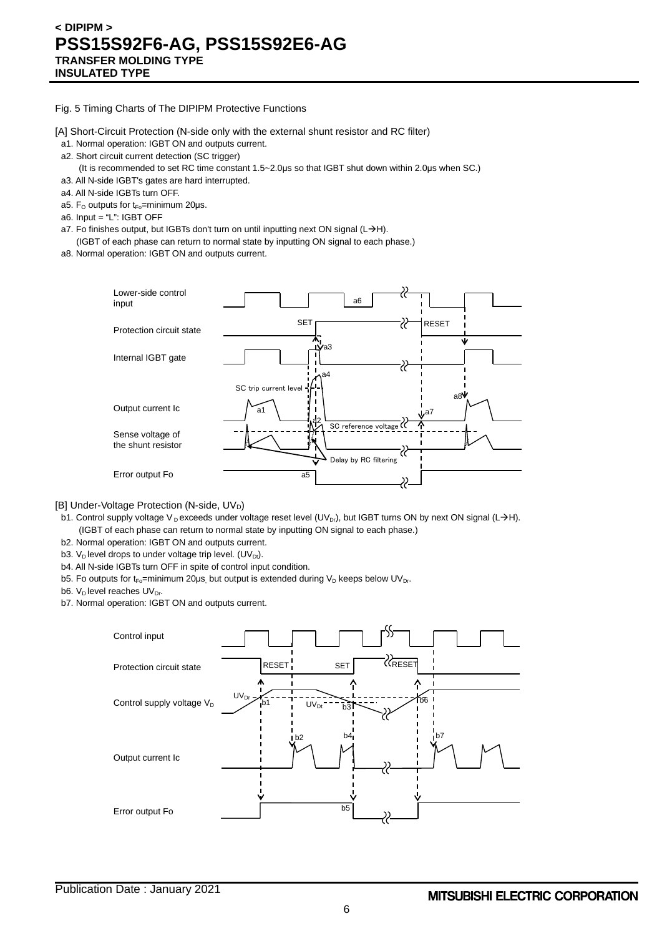Fig. 5 Timing Charts of The DIPIPM Protective Functions

[A] Short-Circuit Protection (N-side only with the external shunt resistor and RC filter)

- a1. Normal operation: IGBT ON and outputs current.
- a2. Short circuit current detection (SC trigger)
	- (It is recommended to set RC time constant 1.5~2.0μs so that IGBT shut down within 2.0μs when SC.)
- a3. All N-side IGBT's gates are hard interrupted.
- a4. All N-side IGBTs turn OFF.
- a5. F<sub>o</sub> outputs for  $t_{Fo}$ =minimum 20 $\mu$ s.
- a6. Input = "L": IGBT OFF
- a7. Fo finishes output, but IGBTs don't turn on until inputting next ON signal (L $\rightarrow$ H).
- (IGBT of each phase can return to normal state by inputting ON signal to each phase.) a8. Normal operation: IGBT ON and outputs current.



[B] Under-Voltage Protection (N-side, UVD)

- b1. Control supply voltage V<sub>D</sub> exceeds under voltage reset level (UV<sub>Dr</sub>), but IGBT turns ON by next ON signal (L->H). (IGBT of each phase can return to normal state by inputting ON signal to each phase.)
- b2. Normal operation: IGBT ON and outputs current.
- b3. V<sub>D</sub> level drops to under voltage trip level. (UV<sub>Dt</sub>).
- b4. All N-side IGBTs turn OFF in spite of control input condition.
- b5. Fo outputs for t<sub>Fo</sub>=minimum 20µs, but output is extended during V<sub>D</sub> keeps below UV<sub>Dr</sub>.
- b6.  $V_D$  level reaches  $UV_{Dr}$ .
- b7. Normal operation: IGBT ON and outputs current.

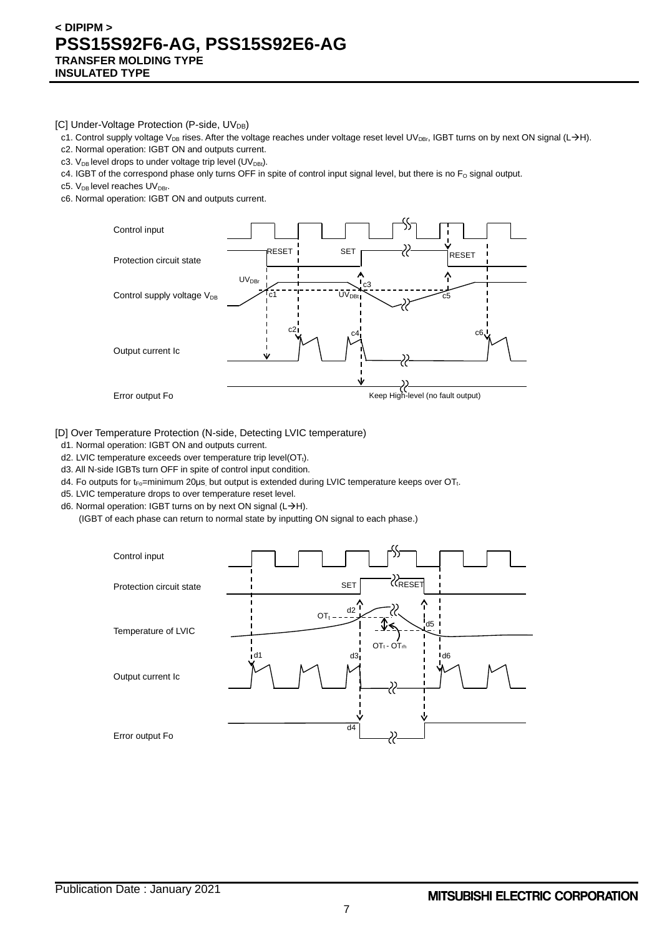[C] Under-Voltage Protection (P-side, UV<sub>DB</sub>)

- c1. Control supply voltage V<sub>DB</sub> rises. After the voltage reaches under voltage reset level UV<sub>DBr</sub>, IGBT turns on by next ON signal (L->H).
- c2. Normal operation: IGBT ON and outputs current.
- c3.  $V_{DB}$  level drops to under voltage trip level (UV<sub>DBt</sub>).
- c4. IGBT of the correspond phase only turns OFF in spite of control input signal level, but there is no  $F_0$  signal output.
- c5. V<sub>DB</sub> level reaches UV<sub>DBr</sub>.
- c6. Normal operation: IGBT ON and outputs current.



[D] Over Temperature Protection (N-side, Detecting LVIC temperature)

- d1. Normal operation: IGBT ON and outputs current.
- d2. LVIC temperature exceeds over temperature trip level(OT<sub>t</sub>).
- d3. All N-side IGBTs turn OFF in spite of control input condition.
- d4. Fo outputs for t<sub>Fo</sub>=minimum 20μs, but output is extended during LVIC temperature keeps over OT<sub>t</sub>.
- d5. LVIC temperature drops to over temperature reset level.
- d6. Normal operation: IGBT turns on by next ON signal ( $L\rightarrow H$ ).
	- (IGBT of each phase can return to normal state by inputting ON signal to each phase.)

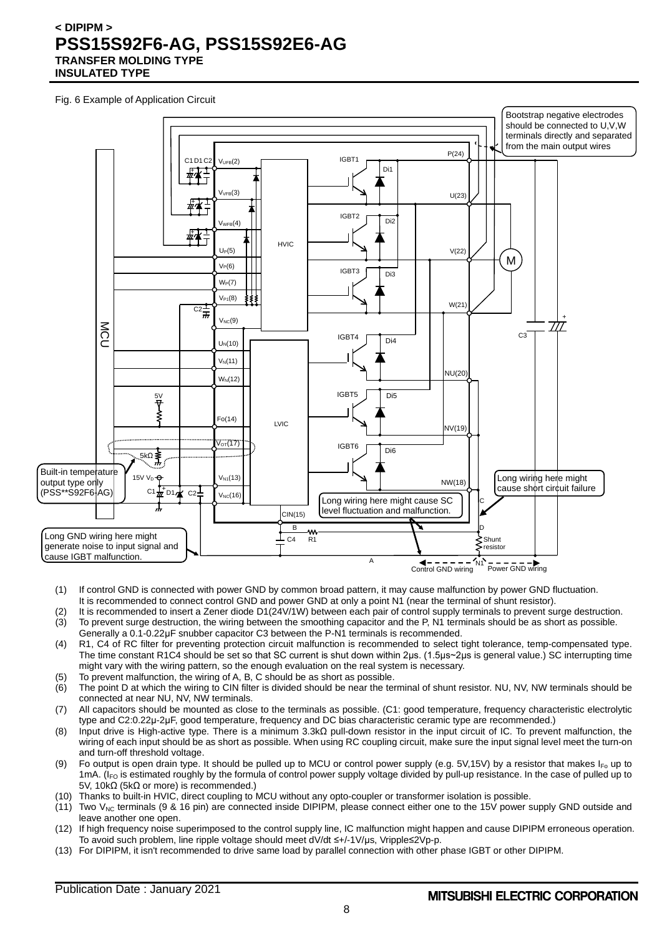Fig. 6 Example of Application Circuit



- (1) If control GND is connected with power GND by common broad pattern, it may cause malfunction by power GND fluctuation. It is recommended to connect control GND and power GND at only a point N1 (near the terminal of shunt resistor).
- (2) It is recommended to insert a Zener diode D1(24V/1W) between each pair of control supply terminals to prevent surge destruction. (3) To prevent surge destruction, the wiring between the smoothing capacitor and the P, N1 terminals should be as short as possible. Generally a 0.1-0.22μF snubber capacitor C3 between the P-N1 terminals is recommended.
- (4) R1, C4 of RC filter for preventing protection circuit malfunction is recommended to select tight tolerance, temp-compensated type. The time constant R1C4 should be set so that SC current is shut down within 2μs. (1.5μs~2μs is general value.) SC interrupting time might vary with the wiring pattern, so the enough evaluation on the real system is necessary.
- (5) To prevent malfunction, the wiring of A, B, C should be as short as possible.
- (6) The point D at which the wiring to CIN filter is divided should be near the terminal of shunt resistor. NU, NV, NW terminals should be connected at near NU, NV, NW terminals.
- (7) All capacitors should be mounted as close to the terminals as possible. (C1: good temperature, frequency characteristic electrolytic type and C2:0.22μ-2μF, good temperature, frequency and DC bias characteristic ceramic type are recommended.)
- (8) Input drive is High-active type. There is a minimum 3.3kΩ pull-down resistor in the input circuit of IC. To prevent malfunction, the wiring of each input should be as short as possible. When using RC coupling circuit, make sure the input signal level meet the turn-on and turn-off threshold voltage.
- (9) Fo output is open drain type. It should be pulled up to MCU or control power supply (e.g. 5V,15V) by a resistor that makes  $I_{F_0}$  up to 1mA. (I<sub>FO</sub> is estimated roughly by the formula of control power supply voltage divided by pull-up resistance. In the case of pulled up to 5V, 10kΩ (5kΩ or more) is recommended.)
- (10) Thanks to built-in HVIC, direct coupling to MCU without any opto-coupler or transformer isolation is possible.
- $(11)$  Two V<sub>NC</sub> terminals (9 & 16 pin) are connected inside DIPIPM, please connect either one to the 15V power supply GND outside and leave another one open.
- (12) If high frequency noise superimposed to the control supply line, IC malfunction might happen and cause DIPIPM erroneous operation. To avoid such problem, line ripple voltage should meet dV/dt ≤+/-1V/μs, Vripple≤2Vp-p.
- (13) For DIPIPM, it isn't recommended to drive same load by parallel connection with other phase IGBT or other DIPIPM.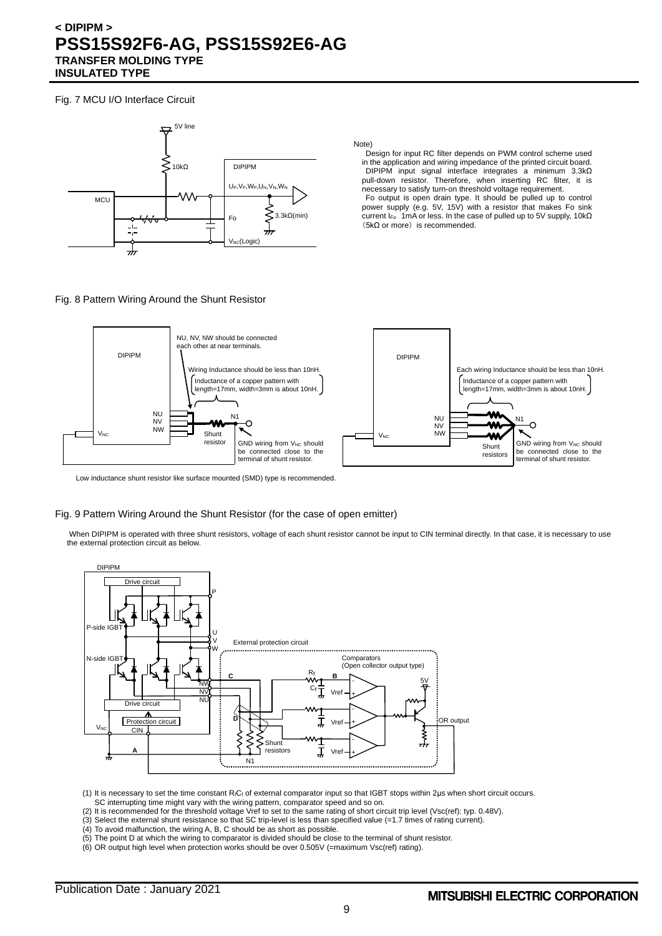Fig. 7 MCU I/O Interface Circuit



Note)

Design for input RC filter depends on PWM control scheme used in the application and wiring impedance of the printed circuit board. DIPIPM input signal interface integrates a minimum 3.3kΩ pull-down resistor. Therefore, when inserting RC filter, it is necessary to satisfy turn-on threshold voltage requirement.

Fo output is open drain type. It should be pulled up to control power supply (e.g. 5V, 15V) with a resistor that makes Fo sink current I<sub>Fo</sub> 1mA or less. In the case of pulled up to 5V supply, 10kΩ (5kΩ or more) is recommended.

### Fig. 8 Pattern Wiring Around the Shunt Resistor



Low inductance shunt resistor like surface mounted (SMD) type is recommended.

#### Fig. 9 Pattern Wiring Around the Shunt Resistor (for the case of open emitter)

When DIPIPM is operated with three shunt resistors, voltage of each shunt resistor cannot be input to CIN terminal directly. In that case, it is necessary to use the external protection circuit as below.



(1) It is necessary to set the time constant RfCf of external comparator input so that IGBT stops within 2μs when short circuit occurs. SC interrupting time might vary with the wiring pattern, comparator speed and so on.

(2) It is recommended for the threshold voltage Vref to set to the same rating of short circuit trip level (Vsc(ref): typ. 0.48V).

(3) Select the external shunt resistance so that SC trip-level is less than specified value (=1.7 times of rating current).

- (4) To avoid malfunction, the wiring A, B, C should be as short as possible.
- (5) The point D at which the wiring to comparator is divided should be close to the terminal of shunt resistor.
- (6) OR output high level when protection works should be over 0.505V (=maximum Vsc(ref) rating).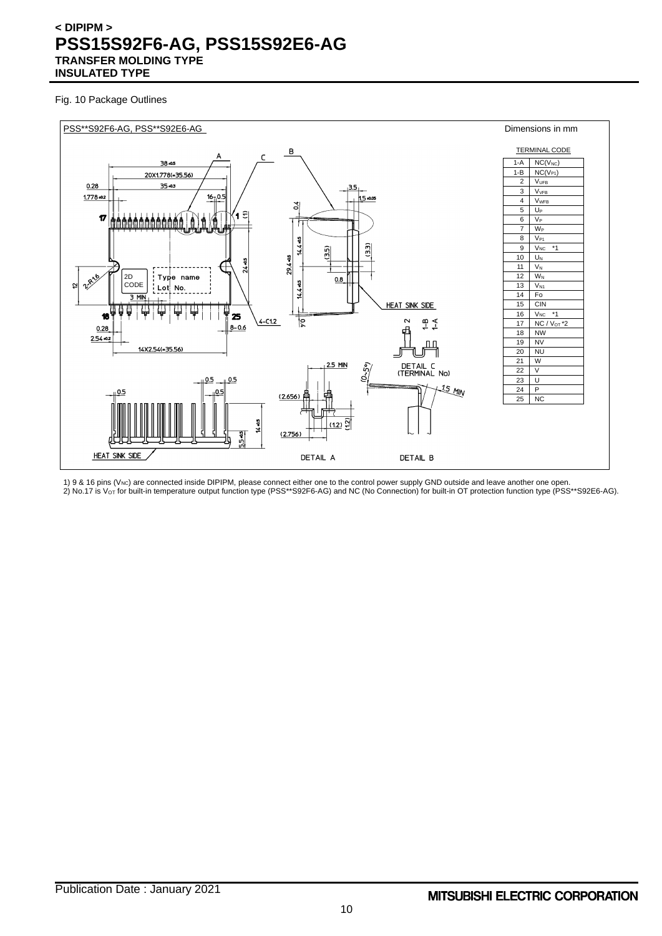Fig. 10 Package Outlines



1) 9 & 16 pins (V<sub>NC</sub>) are connected inside DIPIPM, please connect either one to the control power supply GND outside and leave another one open. 2) No.17 is V $\rm{_{\rm O}}$ r for built-in temperature output function type (PSS\*\*S92F6-AG) and NC (No Connection) for built-in OT protection function type (PSS\*\*S92E6-AG).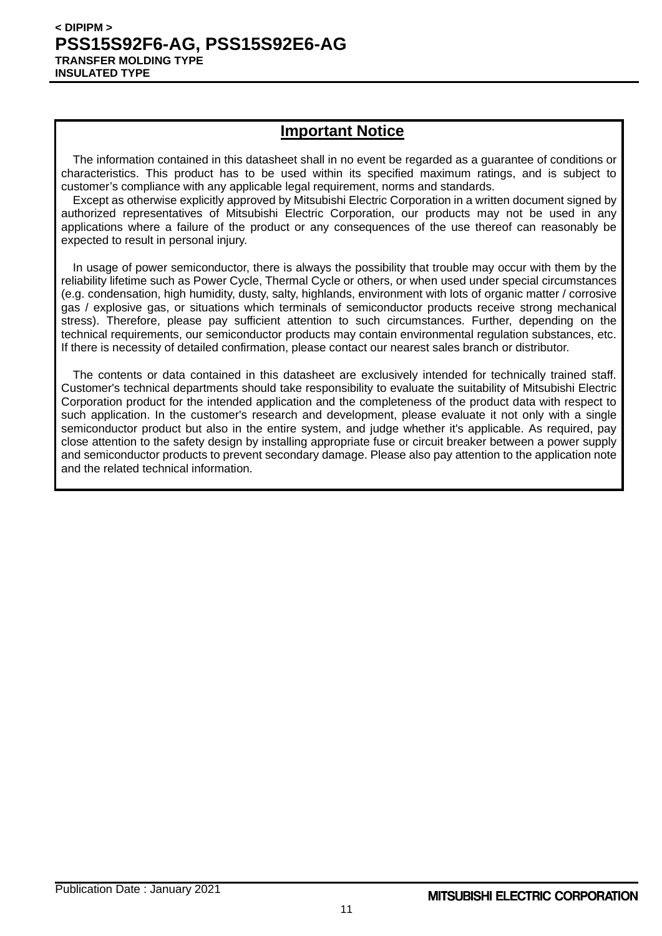# **Important Notice**

The information contained in this datasheet shall in no event be regarded as a guarantee of conditions or characteristics. This product has to be used within its specified maximum ratings, and is subject to customer's compliance with any applicable legal requirement, norms and standards.

Except as otherwise explicitly approved by Mitsubishi Electric Corporation in a written document signed by authorized representatives of Mitsubishi Electric Corporation, our products may not be used in any applications where a failure of the product or any consequences of the use thereof can reasonably be expected to result in personal injury.

In usage of power semiconductor, there is always the possibility that trouble may occur with them by the reliability lifetime such as Power Cycle, Thermal Cycle or others, or when used under special circumstances (e.g. condensation, high humidity, dusty, salty, highlands, environment with lots of organic matter / corrosive gas / explosive gas, or situations which terminals of semiconductor products receive strong mechanical stress). Therefore, please pay sufficient attention to such circumstances. Further, depending on the technical requirements, our semiconductor products may contain environmental regulation substances, etc. If there is necessity of detailed confirmation, please contact our nearest sales branch or distributor.

The contents or data contained in this datasheet are exclusively intended for technically trained staff. Customer's technical departments should take responsibility to evaluate the suitability of Mitsubishi Electric Corporation product for the intended application and the completeness of the product data with respect to such application. In the customer's research and development, please evaluate it not only with a single semiconductor product but also in the entire system, and judge whether it's applicable. As required, pay close attention to the safety design by installing appropriate fuse or circuit breaker between a power supply and semiconductor products to prevent secondary damage. Please also pay attention to the application note and the related technical information.